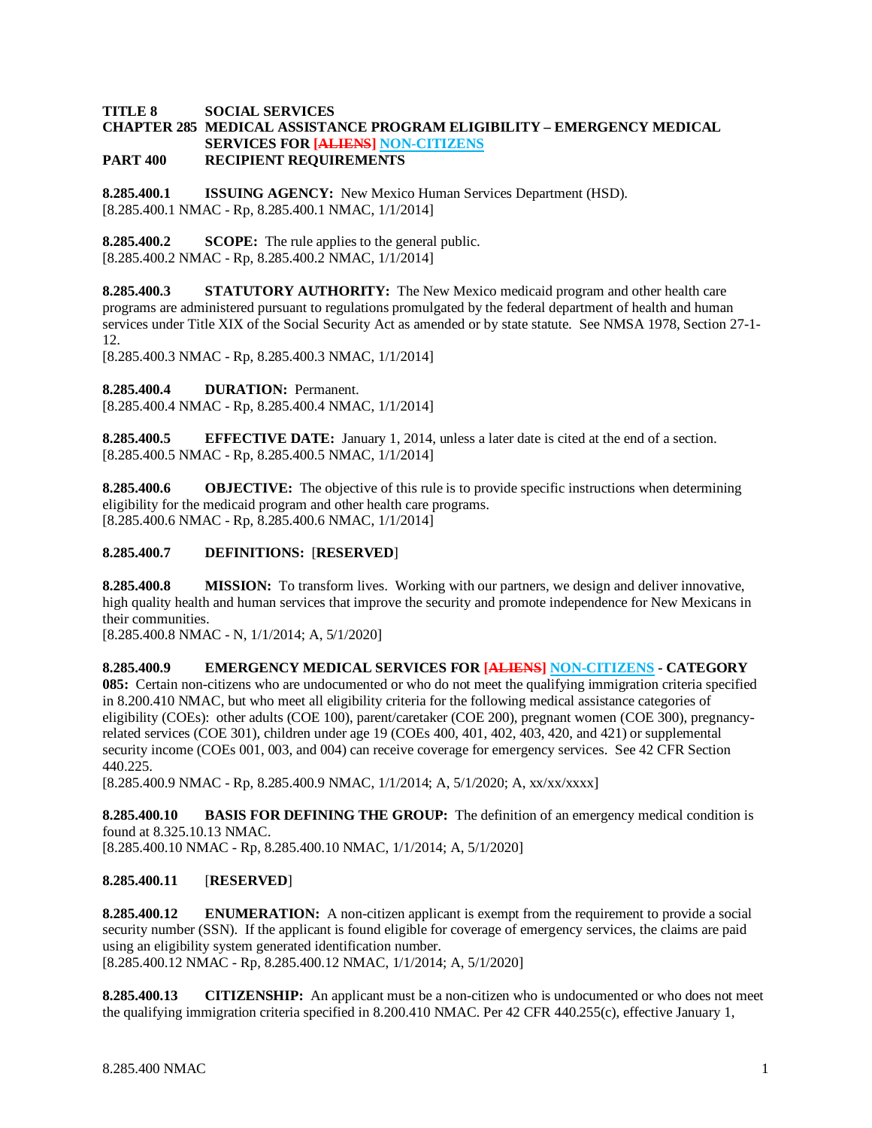# **TITLE 8 SOCIAL SERVICES CHAPTER 285 MEDICAL ASSISTANCE PROGRAM ELIGIBILITY – EMERGENCY MEDICAL SERVICES FOR [ALIENS] NON-CITIZENS**

**PART 400 RECIPIENT REQUIREMENTS**

**8.285.400.1 ISSUING AGENCY:** New Mexico Human Services Department (HSD). [8.285.400.1 NMAC - Rp, 8.285.400.1 NMAC, 1/1/2014]

**8.285.400.2 SCOPE:** The rule applies to the general public. [8.285.400.2 NMAC - Rp, 8.285.400.2 NMAC, 1/1/2014]

**8.285.400.3 STATUTORY AUTHORITY:** The New Mexico medicaid program and other health care programs are administered pursuant to regulations promulgated by the federal department of health and human services under Title XIX of the Social Security Act as amended or by state statute. See NMSA 1978, Section 27-1- 12.

[8.285.400.3 NMAC - Rp, 8.285.400.3 NMAC, 1/1/2014]

**8.285.400.4 DURATION:** Permanent.

[8.285.400.4 NMAC - Rp, 8.285.400.4 NMAC, 1/1/2014]

**8.285.400.5 EFFECTIVE DATE:** January 1, 2014, unless a later date is cited at the end of a section. [8.285.400.5 NMAC - Rp, 8.285.400.5 NMAC, 1/1/2014]

**8.285.400.6 OBJECTIVE:** The objective of this rule is to provide specific instructions when determining eligibility for the medicaid program and other health care programs. [8.285.400.6 NMAC - Rp, 8.285.400.6 NMAC, 1/1/2014]

#### **8.285.400.7 DEFINITIONS:** [**RESERVED**]

**8.285.400.8 MISSION:** To transform lives. Working with our partners, we design and deliver innovative, high quality health and human services that improve the security and promote independence for New Mexicans in their communities.

[8.285.400.8 NMAC - N, 1/1/2014; A, 5/1/2020]

**8.285.400.9 EMERGENCY MEDICAL SERVICES FOR [ALIENS] NON-CITIZENS - CATEGORY 085:** Certain non-citizens who are undocumented or who do not meet the qualifying immigration criteria specified in 8.200.410 NMAC, but who meet all eligibility criteria for the following medical assistance categories of eligibility (COEs): other adults (COE 100), parent/caretaker (COE 200), pregnant women (COE 300), pregnancyrelated services (COE 301), children under age 19 (COEs 400, 401, 402, 403, 420, and 421) or supplemental security income (COEs 001, 003, and 004) can receive coverage for emergency services. See 42 CFR Section 440.225.

[8.285.400.9 NMAC - Rp, 8.285.400.9 NMAC, 1/1/2014; A, 5/1/2020; A, xx/xx/xxxx]

**8.285.400.10 BASIS FOR DEFINING THE GROUP:** The definition of an emergency medical condition is found at 8.325.10.13 NMAC.

[8.285.400.10 NMAC - Rp, 8.285.400.10 NMAC, 1/1/2014; A, 5/1/2020]

# **8.285.400.11** [**RESERVED**]

**8.285.400.12 ENUMERATION:** A non-citizen applicant is exempt from the requirement to provide a social security number (SSN). If the applicant is found eligible for coverage of emergency services, the claims are paid using an eligibility system generated identification number. [8.285.400.12 NMAC - Rp, 8.285.400.12 NMAC, 1/1/2014; A, 5/1/2020]

**8.285.400.13 CITIZENSHIP:** An applicant must be a non-citizen who is undocumented or who does not meet the qualifying immigration criteria specified in 8.200.410 NMAC*.* Per 42 CFR 440.255(c), effective January 1,